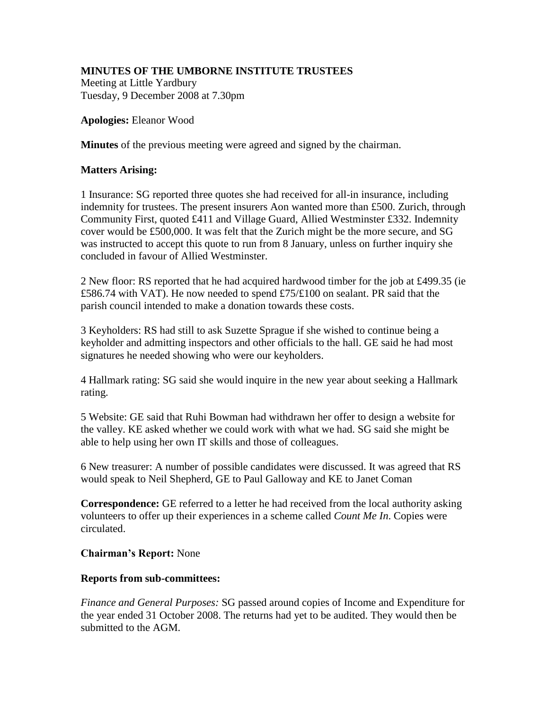# **MINUTES OF THE UMBORNE INSTITUTE TRUSTEES**

Meeting at Little Yardbury Tuesday, 9 December 2008 at 7.30pm

## **Apologies:** Eleanor Wood

**Minutes** of the previous meeting were agreed and signed by the chairman.

## **Matters Arising:**

1 Insurance: SG reported three quotes she had received for all-in insurance, including indemnity for trustees. The present insurers Aon wanted more than £500. Zurich, through Community First, quoted £411 and Village Guard, Allied Westminster £332. Indemnity cover would be £500,000. It was felt that the Zurich might be the more secure, and SG was instructed to accept this quote to run from 8 January, unless on further inquiry she concluded in favour of Allied Westminster.

2 New floor: RS reported that he had acquired hardwood timber for the job at £499.35 (ie £586.74 with VAT). He now needed to spend £75/£100 on sealant. PR said that the parish council intended to make a donation towards these costs.

3 Keyholders: RS had still to ask Suzette Sprague if she wished to continue being a keyholder and admitting inspectors and other officials to the hall. GE said he had most signatures he needed showing who were our keyholders.

4 Hallmark rating: SG said she would inquire in the new year about seeking a Hallmark rating.

5 Website: GE said that Ruhi Bowman had withdrawn her offer to design a website for the valley. KE asked whether we could work with what we had. SG said she might be able to help using her own IT skills and those of colleagues.

6 New treasurer: A number of possible candidates were discussed. It was agreed that RS would speak to Neil Shepherd, GE to Paul Galloway and KE to Janet Coman

**Correspondence:** GE referred to a letter he had received from the local authority asking volunteers to offer up their experiences in a scheme called *Count Me In*. Copies were circulated.

## **Chairman's Report:** None

## **Reports from sub-committees:**

*Finance and General Purposes:* SG passed around copies of Income and Expenditure for the year ended 31 October 2008. The returns had yet to be audited. They would then be submitted to the AGM.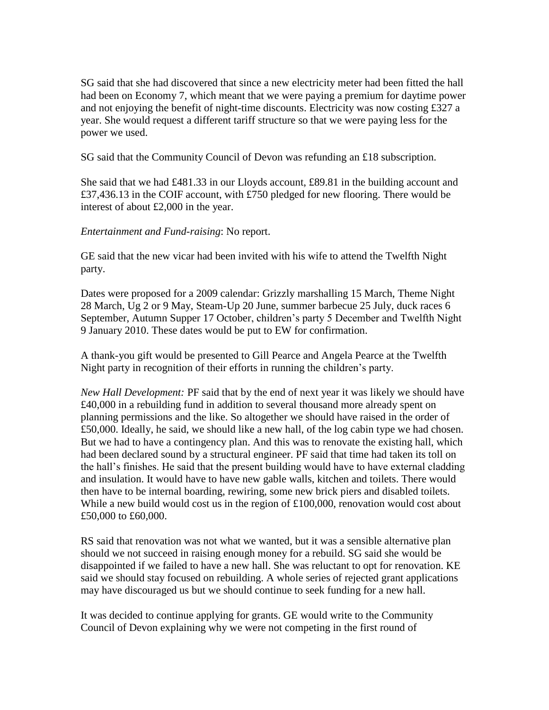SG said that she had discovered that since a new electricity meter had been fitted the hall had been on Economy 7, which meant that we were paying a premium for daytime power and not enjoying the benefit of night-time discounts. Electricity was now costing £327 a year. She would request a different tariff structure so that we were paying less for the power we used.

SG said that the Community Council of Devon was refunding an £18 subscription.

She said that we had £481.33 in our Lloyds account, £89.81 in the building account and £37,436.13 in the COIF account, with £750 pledged for new flooring. There would be interest of about £2,000 in the year.

*Entertainment and Fund-raising*: No report.

GE said that the new vicar had been invited with his wife to attend the Twelfth Night party.

Dates were proposed for a 2009 calendar: Grizzly marshalling 15 March, Theme Night 28 March, Ug 2 or 9 May, Steam-Up 20 June, summer barbecue 25 July, duck races 6 September, Autumn Supper 17 October, children's party 5 December and Twelfth Night 9 January 2010. These dates would be put to EW for confirmation.

A thank-you gift would be presented to Gill Pearce and Angela Pearce at the Twelfth Night party in recognition of their efforts in running the children's party.

*New Hall Development:* PF said that by the end of next year it was likely we should have £40,000 in a rebuilding fund in addition to several thousand more already spent on planning permissions and the like. So altogether we should have raised in the order of £50,000. Ideally, he said, we should like a new hall, of the log cabin type we had chosen. But we had to have a contingency plan. And this was to renovate the existing hall, which had been declared sound by a structural engineer. PF said that time had taken its toll on the hall's finishes. He said that the present building would have to have external cladding and insulation. It would have to have new gable walls, kitchen and toilets. There would then have to be internal boarding, rewiring, some new brick piers and disabled toilets. While a new build would cost us in the region of  $\text{\pounds}100,000$ , renovation would cost about £50,000 to £60,000.

RS said that renovation was not what we wanted, but it was a sensible alternative plan should we not succeed in raising enough money for a rebuild. SG said she would be disappointed if we failed to have a new hall. She was reluctant to opt for renovation. KE said we should stay focused on rebuilding. A whole series of rejected grant applications may have discouraged us but we should continue to seek funding for a new hall.

It was decided to continue applying for grants. GE would write to the Community Council of Devon explaining why we were not competing in the first round of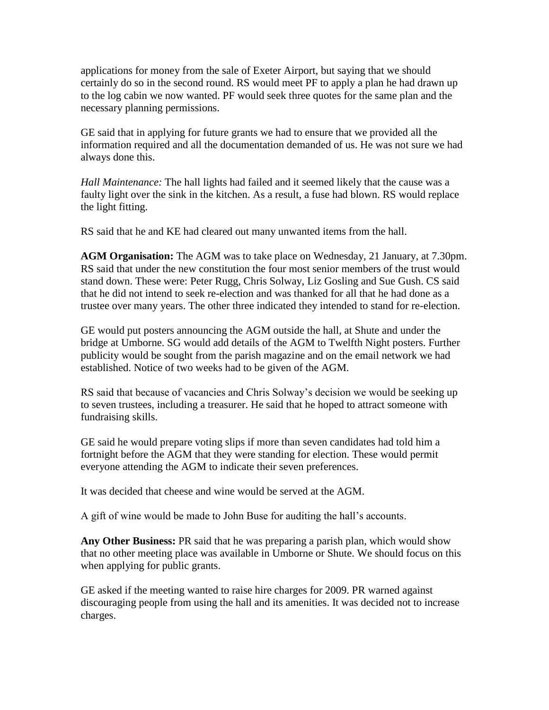applications for money from the sale of Exeter Airport, but saying that we should certainly do so in the second round. RS would meet PF to apply a plan he had drawn up to the log cabin we now wanted. PF would seek three quotes for the same plan and the necessary planning permissions.

GE said that in applying for future grants we had to ensure that we provided all the information required and all the documentation demanded of us. He was not sure we had always done this.

*Hall Maintenance:* The hall lights had failed and it seemed likely that the cause was a faulty light over the sink in the kitchen. As a result, a fuse had blown. RS would replace the light fitting.

RS said that he and KE had cleared out many unwanted items from the hall.

**AGM Organisation:** The AGM was to take place on Wednesday, 21 January, at 7.30pm. RS said that under the new constitution the four most senior members of the trust would stand down. These were: Peter Rugg, Chris Solway, Liz Gosling and Sue Gush. CS said that he did not intend to seek re-election and was thanked for all that he had done as a trustee over many years. The other three indicated they intended to stand for re-election.

GE would put posters announcing the AGM outside the hall, at Shute and under the bridge at Umborne. SG would add details of the AGM to Twelfth Night posters. Further publicity would be sought from the parish magazine and on the email network we had established. Notice of two weeks had to be given of the AGM.

RS said that because of vacancies and Chris Solway's decision we would be seeking up to seven trustees, including a treasurer. He said that he hoped to attract someone with fundraising skills.

GE said he would prepare voting slips if more than seven candidates had told him a fortnight before the AGM that they were standing for election. These would permit everyone attending the AGM to indicate their seven preferences.

It was decided that cheese and wine would be served at the AGM.

A gift of wine would be made to John Buse for auditing the hall's accounts.

**Any Other Business:** PR said that he was preparing a parish plan, which would show that no other meeting place was available in Umborne or Shute. We should focus on this when applying for public grants.

GE asked if the meeting wanted to raise hire charges for 2009. PR warned against discouraging people from using the hall and its amenities. It was decided not to increase charges.